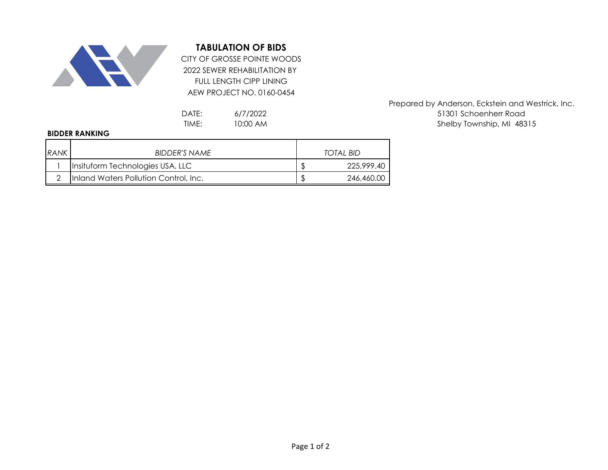

## **TABULATION OF BIDS**

2022 SEWER REHABILITATION BY FULL LENGTH CIPP LINING AEW PROJECT NO. 0160-0454 CITY OF GROSSE POINTE WOODS

> 6/7/2022 10:00 AM

## **BIDDER RANKING**

| <b>RANK</b> | BIDDER'S NAME                         | TOTAL BID  |
|-------------|---------------------------------------|------------|
|             | Insituform Technologies USA, LLC      | 225,999.40 |
|             | Inland Waters Pollution Control, Inc. | 246,460.00 |

Prepared by Anderson, Eckstein and Westrick, Inc. DATE: 6/7/2022 6/12/2022 51301 Schoenherr Road TIME: 10:00 AM and the state of the Shelby Township, MI 48315